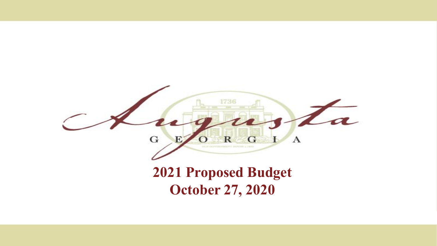

**October 27, 2020**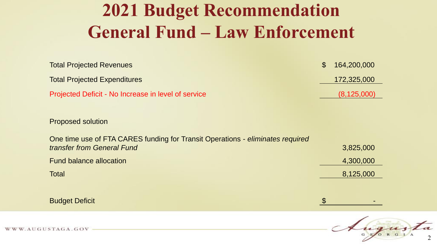## **2021 Budget Recommendation General Fund – Law Enforcement**

| <b>Total Projected Revenues</b>                     | $\mathcal{L}$ | 164,200,000   |
|-----------------------------------------------------|---------------|---------------|
| <b>Total Projected Expenditures</b>                 |               | 172,325,000   |
| Projected Deficit - No Increase in level of service |               | (8, 125, 000) |
| <b>Dronocod</b> colution                            |               |               |

Proposed solution

| One time use of FTA CARES funding for Transit Operations - eliminates required |           |
|--------------------------------------------------------------------------------|-----------|
| transfer from General Fund                                                     | 3,825,000 |
| <b>Fund balance allocation</b>                                                 | 4,300,000 |
| Total                                                                          | 8,125,000 |

Budget Deficit **\$ 5 - 10 million and 20 million** and 20 million and 20 million and 20 million and 20 million and 20 million and 20 million and 20 million and 20 million and 20 million and 20 million and 20 million and 20 m

 $\mathcal{D}$ 

WWW.AUGUSTAGA.GOV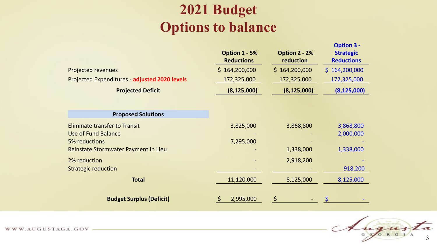### **2021 Budget Options to balance**

|                                                                                                                      | Option 1 - 5%<br><b>Reductions</b> | Option 2 - 2%<br>reduction | <b>Option 3 -</b><br><b>Strategic</b><br><b>Reductions</b> |
|----------------------------------------------------------------------------------------------------------------------|------------------------------------|----------------------------|------------------------------------------------------------|
| <b>Projected revenues</b>                                                                                            | \$164,200,000                      | \$164,200,000              | \$164,200,000                                              |
| Projected Expenditures - adjusted 2020 levels                                                                        | 172,325,000                        | 172,325,000                | 172,325,000                                                |
| <b>Projected Deficit</b>                                                                                             | (8, 125, 000)                      | (8, 125, 000)              | (8, 125, 000)                                              |
| <b>Proposed Solutions</b>                                                                                            |                                    |                            |                                                            |
| Eliminate transfer to Transit<br><b>Use of Fund Balance</b><br>5% reductions<br>Reinstate Stormwater Payment In Lieu | 3,825,000<br>7,295,000             | 3,868,800<br>1,338,000     | 3,868,800<br>2,000,000<br>1,338,000                        |
| 2% reduction<br><b>Strategic reduction</b>                                                                           |                                    | 2,918,200                  | 918,200                                                    |
| <b>Total</b>                                                                                                         | 11,120,000                         | 8,125,000                  | 8,125,000                                                  |
| <b>Budget Surplus (Deficit)</b>                                                                                      | 2,995,000                          |                            |                                                            |



WWW.AUGUSTAGA.GOV -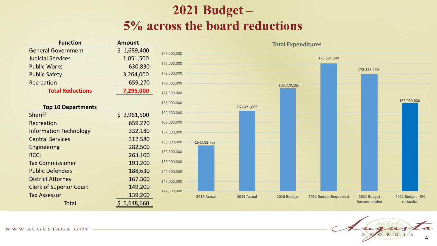#### **2021 Budget – 5% across the board reductions**

| <b>Function</b>                | <b>Amount</b> |             |             |             | <b>Total Expenditures</b> |                       |                    |                  |
|--------------------------------|---------------|-------------|-------------|-------------|---------------------------|-----------------------|--------------------|------------------|
| <b>General Government</b>      | \$1,689,400   | 177,500,000 |             |             |                           |                       |                    |                  |
| <b>Judicial Services</b>       | 1,051,500     |             |             |             |                           | 175,097,500           |                    |                  |
| <b>Public Works</b>            | 630,830       | 175,000,000 |             |             |                           |                       | 172,325,000        |                  |
| <b>Public Safety</b>           | 3,264,000     | 172,500,000 |             |             |                           |                       |                    |                  |
| Recreation                     | 659,270       | 170,000,000 |             |             | 168,770,180               |                       |                    |                  |
| <b>Total Reductions</b>        | 7,295,000     | 167,500,000 |             |             |                           |                       |                    |                  |
|                                |               | 165,000,000 |             |             |                           |                       |                    | 165,030,000      |
| <b>Top 10 Departments</b>      |               |             |             | 163,021,085 |                           |                       |                    |                  |
| <b>Sheriff</b>                 | \$2,961,500   | 162,500,000 |             |             |                           |                       |                    |                  |
| Recreation                     | 659,270       | 160,000,000 |             |             |                           |                       |                    |                  |
| <b>Information Technology</b>  | 332,180       | 157,500,000 |             |             |                           |                       |                    |                  |
| <b>Central Services</b>        | 312,580       | 155,000,000 | 154,183,758 |             |                           |                       |                    |                  |
| Engineering                    | 282,500       |             |             |             |                           |                       |                    |                  |
| <b>RCCI</b>                    | 263,100       | 152,500,000 |             |             |                           |                       |                    |                  |
| <b>Tax Commissioner</b>        | 193,200       | 150,000,000 |             |             |                           |                       |                    |                  |
| <b>Public Defenders</b>        | 188,630       | 147,500,000 |             |             |                           |                       |                    |                  |
| <b>District Attorney</b>       | 167,300       | 145,000,000 |             |             |                           |                       |                    |                  |
| <b>Clerk of Superior Court</b> | 149,200       | 142,500,000 |             |             |                           |                       |                    |                  |
| <b>Tax Assessor</b>            | 139,200       |             | 2018 Actual | 2019 Actual | 2020 Budget               | 2021 Budget Requested | 2021 Budget        | 2021 Budget - 5% |
| <b>Total</b>                   | \$5,648,660   |             |             |             |                           |                       | <b>Recommended</b> | reduction        |

Augusta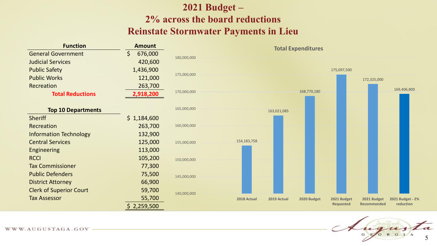#### **2021 Budget – 2% across the board reductions Reinstate Stormwater Payments in Lieu**

| <b>Function</b>                | <b>Amount</b>                 |             |               |             | <b>Total Expenditures</b> |                  |             |                  |
|--------------------------------|-------------------------------|-------------|---------------|-------------|---------------------------|------------------|-------------|------------------|
| <b>General Government</b>      | $\mathsf{\dot{S}}$<br>676,000 |             |               |             |                           |                  |             |                  |
| <b>Judicial Services</b>       | 420,600                       | 180,000,000 |               |             |                           |                  |             |                  |
| <b>Public Safety</b>           | 1,436,900                     |             |               |             |                           | 175,097,500      |             |                  |
| <b>Public Works</b>            | 121,000                       | 175,000,000 |               |             |                           |                  | 172,325,000 |                  |
| Recreation                     | 263,700                       |             |               |             |                           |                  |             | 169,406,800      |
| <b>Total Reductions</b>        | 2,918,200                     | 170,000,000 |               |             | 168,770,180               |                  |             |                  |
|                                |                               |             |               |             |                           |                  |             |                  |
| <b>Top 10 Departments</b>      |                               | 165,000,000 |               | 163,021,085 |                           |                  |             |                  |
| <b>Sheriff</b>                 | \$1,184,600                   |             |               |             |                           |                  |             |                  |
| Recreation                     | 263,700                       | 160,000,000 |               |             |                           |                  |             |                  |
| <b>Information Technology</b>  | 132,900                       |             |               |             |                           |                  |             |                  |
| <b>Central Services</b>        | 125,000                       | 155,000,000 | 154, 183, 758 |             |                           |                  |             |                  |
| Engineering                    | 113,000                       |             |               |             |                           |                  |             |                  |
| <b>RCCI</b>                    | 105,200                       | 150,000,000 |               |             |                           |                  |             |                  |
| <b>Tax Commissioner</b>        | 77,300                        |             |               |             |                           |                  |             |                  |
| <b>Public Defenders</b>        | 75,500                        | 145,000,000 |               |             |                           |                  |             |                  |
| <b>District Attorney</b>       | 66,900                        |             |               |             |                           |                  |             |                  |
| <b>Clerk of Superior Court</b> | 59,700                        | 140,000,000 |               |             |                           |                  |             |                  |
| <b>Tax Assessor</b>            | 55,700                        |             | 2018 Actual   | 2019 Actual | 2020 Budget               | 2021 Budget      | 2021 Budget | 2021 Budget - 2% |
|                                | \$2,259,500                   |             |               |             |                           | <b>Requested</b> | Recommended | reduction        |



WWW.AUGUSTAGA.GOV -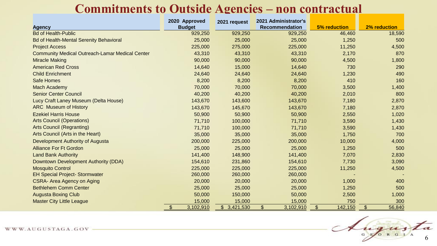#### **Commitments to Outside Agencies – non contractual**

|                                                        | 2020 Approved                        | 2021 request | 2021 Administrator's        |                          |                                     |
|--------------------------------------------------------|--------------------------------------|--------------|-----------------------------|--------------------------|-------------------------------------|
| <b>Agency</b>                                          | <b>Budget</b>                        |              | <b>Recommendation</b>       | <b>5% reduction</b>      | <b>2% reduction</b>                 |
| <b>Bd of Health-Public</b>                             | 929,250                              | 929,250      | 929,250                     | 46,460                   | 18,590                              |
| <b>Bd of Health-Mental Serenity Behavioral</b>         | 25,000                               | 25,000       | 25,000                      | 1,250                    | 500                                 |
| <b>Project Access</b>                                  | 225,000                              | 275,000      | 225,000                     | 11,250                   | 4,500                               |
| <b>Community Medical Outreach-Lamar Medical Center</b> | 43,310                               | 43,310       | 43,310                      | 2,170                    | 870                                 |
| <b>Miracle Making</b>                                  | 90,000                               | 90,000       | 90,000                      | 4,500                    | 1,800                               |
| <b>American Red Cross</b>                              | 14,640                               | 15,000       | 14,640                      | 730                      | 290                                 |
| <b>Child Enrichment</b>                                | 24,640                               | 24,640       | 24,640                      | 1,230                    | 490                                 |
| <b>Safe Homes</b>                                      | 8,200                                | 8,200        | 8,200                       | 410                      | 160                                 |
| <b>Mach Academy</b>                                    | 70,000                               | 70,000       | 70,000                      | 3,500                    | 1,400                               |
| <b>Senior Center Council</b>                           | 40,200                               | 40,200       | 40,200                      | 2,010                    | 800                                 |
| Lucy Craft Laney Museum (Delta House)                  | 143,670                              | 143,600      | 143,670                     | 7,180                    | 2,870                               |
| <b>ARC</b> Museum of History                           | 143,670                              | 145,670      | 143,670                     | 7,180                    | 2,870                               |
| <b>Ezekiel Harris House</b>                            | 50,900                               | 50,900       | 50,900                      | 2,550                    | 1,020                               |
| <b>Arts Council (Operations)</b>                       | 71,710                               | 100,000      | 71,710                      | 3,590                    | 1,430                               |
| <b>Arts Council (Regranting)</b>                       | 71,710                               | 100,000      | 71,710                      | 3,590                    | 1,430                               |
| Arts Council (Arts in the Heart)                       | 35,000                               | 35,000       | 35,000                      | 1,750                    | 700                                 |
| Development Authority of Augusta                       | 200,000                              | 225,000      | 200,000                     | 10,000                   | 4,000                               |
| <b>Alliance For Ft Gordon</b>                          | 25,000                               | 25,000       | 25,000                      | 1,250                    | 500                                 |
| <b>Land Bank Authority</b>                             | 141,400                              | 148,900      | 141,400                     | 7,070                    | 2,830                               |
| Downtown Development Authority (DDA)                   | 154,610                              | 231,860      | 154,610                     | 7,730                    | 3,090                               |
| <b>Mosquito Control</b>                                | 225,000                              | 225,000      | 225,000                     | 11,250                   | 4,500                               |
| <b>EH Special Project- Stormwater</b>                  | 260,000                              | 260,000      | 260,000                     |                          |                                     |
| <b>CSRA- Area Agency on Aging</b>                      | 20,000                               | 20,000       | 20,000                      | 1,000                    | 400                                 |
| <b>Bethlehem Comm Center</b>                           | 25,000                               | 25,000       | 25,000                      | 1,250                    | 500                                 |
| <b>Augusta Boxing Club</b>                             | 50,000                               | 150,000      | 50,000                      | 2,500                    | 1,000                               |
| <b>Master City Little League</b>                       | 15,000                               | 15,000       | 15,000                      | 750                      | 300                                 |
|                                                        | $\sqrt[6]{\frac{1}{2}}$<br>3,102,910 | \$3,421,530  | $\mathfrak{S}$<br>3,102,910 | $\mathcal{S}$<br>142,150 | $\boldsymbol{\mathsf{S}}$<br>56,840 |

ugust 6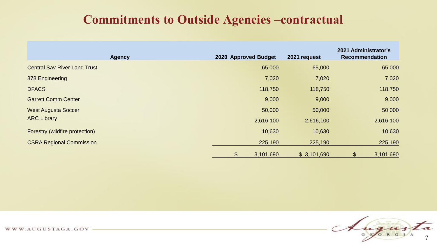#### **Commitments to Outside Agencies –contractual**

| <b>Agency</b>                       | 2020 Approved Budget     | 2021 request | 2021 Administrator's<br><b>Recommendation</b> |
|-------------------------------------|--------------------------|--------------|-----------------------------------------------|
| <b>Central Sav River Land Trust</b> | 65,000                   | 65,000       | 65,000                                        |
| 878 Engineering                     | 7,020                    | 7,020        | 7,020                                         |
| <b>DFACS</b>                        | 118,750                  | 118,750      | 118,750                                       |
| <b>Garrett Comm Center</b>          | 9,000                    | 9,000        | 9,000                                         |
| <b>West Augusta Soccer</b>          | 50,000                   | 50,000       | 50,000                                        |
| <b>ARC Library</b>                  | 2,616,100                | 2,616,100    | 2,616,100                                     |
| Forestry (wildfire protection)      | 10,630                   | 10,630       | 10,630                                        |
| <b>CSRA Regional Commission</b>     | 225,190                  | 225,190      | 225,190                                       |
|                                     | 3,101,690<br>$\mathbb S$ | \$3,101,690  | \$<br>3,101,690                               |

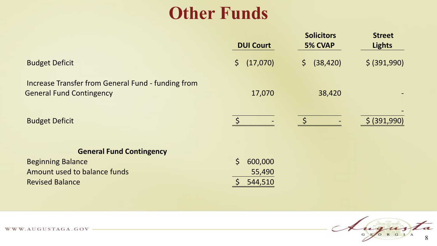## **Other Funds**

|                                                                                       | <b>DUI Court</b>        | <b>Solicitors</b><br><b>5% CVAP</b> | <b>Street</b><br><b>Lights</b> |  |
|---------------------------------------------------------------------------------------|-------------------------|-------------------------------------|--------------------------------|--|
| <b>Budget Deficit</b>                                                                 | (17,070)<br>$\zeta$     | (38, 420)<br>$\mathsf{S}$           | \$ (391,990)                   |  |
| Increase Transfer from General Fund - funding from<br><b>General Fund Contingency</b> | 17,070                  | 38,420                              |                                |  |
| <b>Budget Deficit</b>                                                                 | $\zeta$                 | 5                                   | $\frac{1}{2}$ (391,990)        |  |
| <b>General Fund Contingency</b>                                                       |                         |                                     |                                |  |
| <b>Beginning Balance</b>                                                              | $\mathsf{S}$<br>600,000 |                                     |                                |  |
| Amount used to balance funds                                                          | 55,490                  |                                     |                                |  |
| <b>Revised Balance</b>                                                                | 544,510                 |                                     |                                |  |

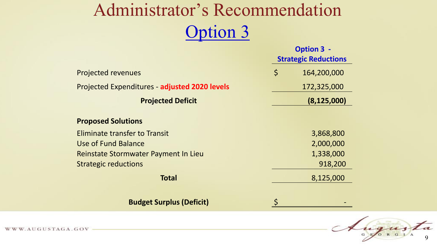## Administrator's Recommendation Option 3

|                                               | <b>Option 3 -</b><br><b>Strategic Reductions</b> |               |
|-----------------------------------------------|--------------------------------------------------|---------------|
| <b>Projected revenues</b>                     | $\varsigma$                                      | 164,200,000   |
| Projected Expenditures - adjusted 2020 levels |                                                  | 172,325,000   |
| <b>Projected Deficit</b>                      |                                                  | (8, 125, 000) |
| <b>Proposed Solutions</b>                     |                                                  |               |
| Eliminate transfer to Transit                 |                                                  | 3,868,800     |
| Use of Fund Balance                           |                                                  | 2,000,000     |
| Reinstate Stormwater Payment In Lieu          |                                                  | 1,338,000     |
| <b>Strategic reductions</b>                   |                                                  | 918,200       |
| <b>Total</b>                                  |                                                  | 8,125,000     |
| <b>Budget Surplus (Deficit)</b>               |                                                  |               |



WWW.AUGUSTAGA.GOV-